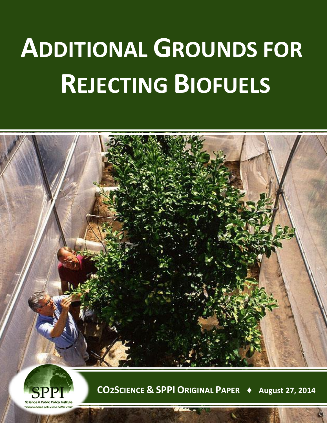## **ADDITIONAL GROUNDS FOR REJECTING BIOFUELS**





**CO2SCIENCE & SPPI ORIGINAL PAPER ♦ August 27, 2014**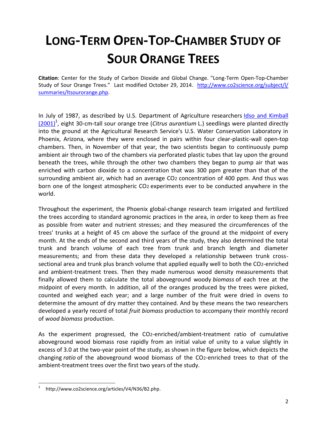## **LONG-TERM OPEN-TOP-CHAMBER STUDY OF SOUR ORANGE TREES**

**Citation**: Center for the Study of Carbon Dioxide and Global Change. "Long-Term Open-Top-Chamber Study of Sour Orange Trees." Last modified October 29, 2014. [http://www.co2science.org/subject/l/](http://www.co2science.org/subject/l/%20summaries/ltsourorange.php)  [summaries/ltsourorange.php.](http://www.co2science.org/subject/l/%20summaries/ltsourorange.php)

In July of 1987, as described by U.S. Department of Agriculture researchers [Idso and Kimball](http://www.co2science.org/articles/V4/N36/B2.php)  [\(2001\)](http://www.co2science.org/articles/V4/N36/B2.php)<sup>1</sup>, eight 30-cm-tall sour orange tree (*Citrus aurantium* L.) seedlings were planted directly into the ground at the Agricultural Research Service's U.S. Water Conservation Laboratory in Phoenix, Arizona, where they were enclosed in pairs within four clear-plastic-wall open-top chambers. Then, in November of that year, the two scientists began to continuously pump ambient air through two of the chambers via perforated plastic tubes that lay upon the ground beneath the trees, while through the other two chambers they began to pump air that was enriched with carbon dioxide to a concentration that was 300 ppm greater than that of the surrounding ambient air, which had an average CO2 concentration of 400 ppm. And thus was born one of the longest atmospheric CO2 experiments ever to be conducted anywhere in the world.

Throughout the experiment, the Phoenix global-change research team irrigated and fertilized the trees according to standard agronomic practices in the area, in order to keep them as free as possible from water and nutrient stresses; and they measured the circumferences of the trees' trunks at a height of 45 cm above the surface of the ground at the midpoint of every month. At the ends of the second and third years of the study, they also determined the total trunk and branch volume of each tree from trunk and branch length and diameter measurements; and from these data they developed a relationship between trunk crosssectional area and trunk plus branch volume that applied equally well to both the CO2-enriched and ambient-treatment trees. Then they made numerous wood density measurements that finally allowed them to calculate the total aboveground woody *biomass* of each tree at the midpoint of every month. In addition, all of the oranges produced by the trees were picked, counted and weighed each year; and a large number of the fruit were dried in ovens to determine the amount of dry matter they contained. And by these means the two researchers developed a yearly record of total *fruit biomass* production to accompany their monthly record of *wood biomass* production.

As the experiment progressed, the CO2-enriched/ambient-treatment ratio of cumulative aboveground wood biomass rose rapidly from an initial value of unity to a value slightly in excess of 3.0 at the two-year point of the study, as shown in the figure below, which depicts the changing *ratio* of the aboveground wood biomass of the CO2-enriched trees to that of the ambient-treatment trees over the first two years of the study.

 $\overline{a}$ 

<sup>1</sup> http://www.co2science.org/articles/V4/N36/B2.php.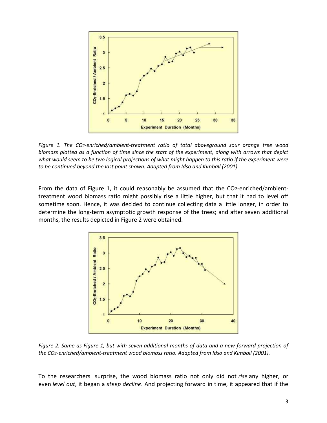

*Figure 1. The CO2-enriched/ambient-treatment ratio of total aboveground sour orange tree wood biomass plotted as a function of time since the start of the experiment, along with arrows that depict what would seem to be two logical projections of what might happen to this ratio if the experiment were to be continued beyond the last point shown. Adapted from Idso and Kimball (2001).*

From the data of Figure 1, it could reasonably be assumed that the CO2-enriched/ambienttreatment wood biomass ratio might possibly rise a little higher, but that it had to level off sometime soon. Hence, it was decided to continue collecting data a little longer, in order to determine the long-term asymptotic growth response of the trees; and after seven additional months, the results depicted in Figure 2 were obtained.



*Figure 2. Same as Figure 1, but with seven additional months of data and a new forward projection of the CO2-enriched/ambient-treatment wood biomass ratio. Adapted from Idso and Kimball (2001).*

To the researchers' surprise, the wood biomass ratio not only did not *rise* any higher, or even *level out*, it began a *steep decline*. And projecting forward in time, it appeared that if the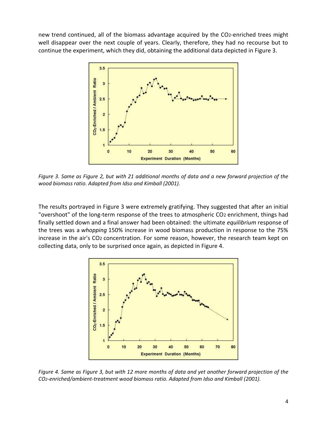new trend continued, all of the biomass advantage acquired by the CO2-enriched trees might well disappear over the next couple of years. Clearly, therefore, they had no recourse but to continue the experiment, which they did, obtaining the additional data depicted in Figure 3.



*Figure 3. Same as Figure 2, but with 21 additional months of data and a new forward projection of the wood biomass ratio. Adapted from Idso and Kimball (2001).*

The results portrayed in Figure 3 were extremely gratifying. They suggested that after an initial "overshoot" of the long-term response of the trees to atmospheric CO2 enrichment, things had finally settled down and a final answer had been obtained: the ultimate *equilibrium* response of the trees was a *whopping* 150% increase in wood biomass production in response to the 75% increase in the air's CO2 concentration. For some reason, however, the research team kept on collecting data, only to be surprised once again, as depicted in Figure 4.



*Figure 4. Same as Figure 3, but with 12 more months of data and yet another forward projection of the CO2-enriched/ambient-treatment wood biomass ratio. Adapted from Idso and Kimball (2001).*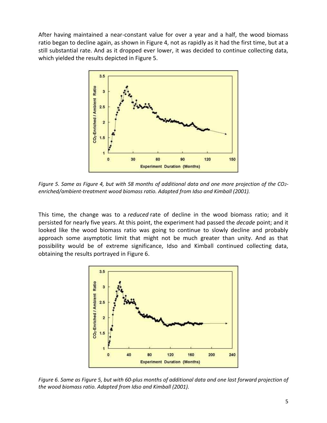After having maintained a near-constant value for over a year and a half, the wood biomass ratio began to decline again, as shown in Figure 4, not as rapidly as it had the first time, but at a still substantial rate. And as it dropped ever lower, it was decided to continue collecting data, which yielded the results depicted in Figure 5.



*Figure 5. Same as Figure 4, but with 58 months of additional data and one more projection of the CO2 enriched/ambient-treatment wood biomass ratio. Adapted from Idso and Kimball (2001).*

This time, the change was to a *reduced* rate of decline in the wood biomass ratio; and it persisted for nearly five years. At this point, the experiment had passed the *decade* point; and it looked like the wood biomass ratio was going to continue to slowly decline and probably approach some asymptotic limit that might not be much greater than unity. And as that possibility would be of extreme significance, Idso and Kimball continued collecting data, obtaining the results portrayed in Figure 6.



*Figure 6. Same as Figure 5, but with 60-plus months of additional data and one last forward projection of the wood biomass ratio. Adapted from Idso and Kimball (2001).*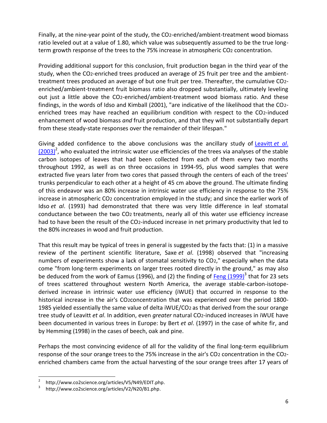Finally, at the nine-year point of the study, the CO2-enriched/ambient-treatment wood biomass ratio leveled out at a value of 1.80, which value was subsequently assumed to be the true longterm growth response of the trees to the 75% increase in atmospheric CO2 concentration.

Providing additional support for this conclusion, fruit production began in the third year of the study, when the CO2-enriched trees produced an average of 25 fruit per tree and the ambienttreatment trees produced an average of but one fruit per tree. Thereafter, the cumulative CO2 enriched/ambient-treatment fruit biomass ratio also dropped substantially, ultimately leveling out just a little above the CO2-enriched/ambient-treatment wood biomass ratio. And these findings, in the words of Idso and Kimball (2001), "are indicative of the likelihood that the CO2 enriched trees may have reached an equilibrium condition with respect to the CO2-induced enhancement of wood biomass *and* fruit production, and that they will not substantially depart from these steady-state responses over the remainder of their lifespan."

Giving added confidence to the above conclusions was the ancillary study of [Leavitt](http://www.co2science.org/articles/V5/N49/EDIT.php) *et al*.  $(2003)^2$  $(2003)^2$ , who evaluated the intrinsic water use efficiencies of the trees via analyses of the stable carbon isotopes of leaves that had been collected from each of them every two months throughout 1992, as well as on three occasions in 1994-95, plus wood samples that were extracted five years later from two cores that passed through the centers of each of the trees' trunks perpendicular to each other at a height of 45 cm above the ground. The ultimate finding of this endeavor was an 80% increase in intrinsic water use efficiency in response to the 75% increase in atmospheric CO2 concentration employed in the study; and since the earlier work of Idso *et al*. (1993) had demonstrated that there was very little difference in leaf stomatal conductance between the two CO2 treatments, nearly all of this water use efficiency increase had to have been the result of the CO2-induced increase in net primary productivity that led to the 80% increases in wood and fruit production.

That this result may be typical of trees in general is suggested by the facts that: (1) in a massive review of the pertinent scientific literature, Saxe *et al*. (1998) observed that "increasing numbers of experiments show a lack of stomatal sensitivity to CO2," especially when the data come "from long-term experiments on larger trees rooted directly in the ground," as may also be deduced from the work of Eamus (1996), and (2) the finding of [Feng \(1999\)](http://www.co2science.org/articles/V2/N20/B1.php)<sup>3</sup> that for 23 sets of trees scattered throughout western North America, the average stable-carbon-isotopederived increase in intrinsic water use efficiency (iWUE) that occurred in response to the historical increase in the air's CO2concentration that was experienced over the period 1800- 1985 yielded essentially the same value of delta iWUE/CO2 as that derived from the sour orange tree study of Leavitt *et al*. In addition, even *greater* natural CO2-induced increases in iWUE have been documented in various trees in Europe: by Bert *et al*. (1997) in the case of white fir, and by Hemming (1998) in the cases of beech, oak and pine.

Perhaps the most convincing evidence of all for the validity of the final long-term equilibrium response of the sour orange trees to the 75% increase in the air's CO2 concentration in the CO2 enriched chambers came from the actual harvesting of the sour orange trees after 17 years of

 $\overline{a}$ 

<sup>2</sup> http://www.co2science.org/articles/V5/N49/EDIT.php.

<sup>3</sup> http://www.co2science.org/articles/V2/N20/B1.php.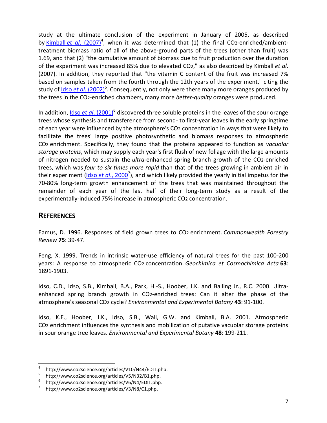study at the ultimate conclusion of the experiment in January of 2005, as described by <u>Kimball et al[. \(2007\)](http://www.co2science.org/articles/V10/N44/EDIT.php)</u><sup>4</sup>, when it was determined that (1) the final CO2-enriched/ambienttreatment biomass ratio of all of the above-ground parts of the trees (other than fruit) was 1.69, and that (2) "the cumulative amount of biomass due to fruit production over the duration of the experiment was increased 85% due to elevated CO2," as also described by Kimball *et al*. (2007). In addition, they reported that "the vitamin C content of the fruit was increased 7% based on samples taken from the fourth through the 12th years of the experiment," citing the study of <u>Idso et al[. \(2002\)](http://www.co2science.org/articles/V5/N32/B1.php)</u><sup>5</sup>. Consequently, not only were there many more oranges produced by the trees in the CO2-enriched chambers, many more *better-quality* oranges were produced.

In addition, *Idso et al.* (2001)<sup>6</sup> discovered three soluble proteins in the leaves of the sour orange trees whose synthesis and transference from second- to first-year leaves in the early springtime of each year were influenced by the atmosphere's CO2 concentration in ways that were likely to facilitate the trees' large positive photosynthetic and biomass responses to atmospheric CO2 enrichment. Specifically, they found that the proteins appeared to function as *vacuolar storage proteins*, which may supply each year's first flush of new foliage with the large amounts of nitrogen needed to sustain the *ultra*-enhanced spring branch growth of the CO2-enriched trees, which was *four to six times more rapid* than that of the trees growing in ambient air in their experiment (<u>Idso et al[., 2000](http://www.co2science.org/articles/V3/N8/C1.php)</u><sup>7</sup>), and which likely provided the yearly initial impetus for the 70-80% long-term growth enhancement of the trees that was maintained throughout the remainder of each year of the last half of their long-term study as a result of the experimentally-induced 75% increase in atmospheric CO2 concentration.

## **REFERENCES**

Eamus, D. 1996. Responses of field grown trees to CO2 enrichment. *Commonwealth Forestry Review* **75**: 39-47.

Feng, X. 1999. Trends in intrinsic water-use efficiency of natural trees for the past 100-200 years: A response to atmospheric CO2 concentration. *Geochimica et Cosmochimica Acta* **63**: 1891-1903.

Idso, C.D., Idso, S.B., Kimball, B.A., Park, H.-S., Hoober, J.K. and Balling Jr., R.C. 2000. Ultraenhanced spring branch growth in CO2-enriched trees: Can it alter the phase of the atmosphere's seasonal CO2 cycle? *Environmental and Experimental Botany* **43**: 91-100.

Idso, K.E., Hoober, J.K., Idso, S.B., Wall, G.W. and Kimball, B.A. 2001. Atmospheric CO2 enrichment influences the synthesis and mobilization of putative vacuolar storage proteins in sour orange tree leaves. *Environmental and Experimental Botany* **48**: 199-211.

 $\overline{4}$ http://www.co2science.org/articles/V10/N44/EDIT.php.

<sup>5</sup> http://www.co2science.org/articles/V5/N32/B1.php.

<sup>6</sup> http://www.co2science.org/articles/V6/N4/EDIT.php.

<sup>7</sup> http://www.co2science.org/articles/V3/N8/C1.php.